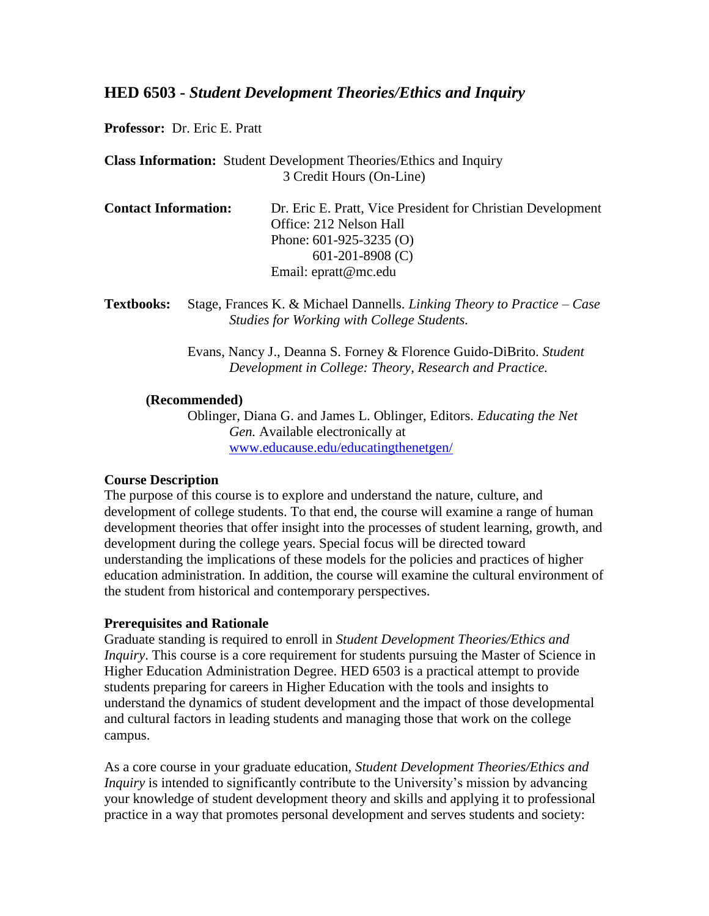# **HED 6503 -** *Student Development Theories/Ethics and Inquiry*

**Professor:** Dr. Eric E. Pratt

**Class Information:** Student Development Theories/Ethics and Inquiry 3 Credit Hours (On-Line)

| <b>Contact Information:</b> | Dr. Eric E. Pratt, Vice President for Christian Development |
|-----------------------------|-------------------------------------------------------------|
|                             | Office: 212 Nelson Hall                                     |
|                             | Phone: $601-925-3235$ (O)                                   |
|                             | $601-201-8908$ (C)                                          |
|                             | Email: $e$ pratt@mc.edu                                     |

**Textbooks:** Stage, Frances K. & Michael Dannells. *Linking Theory to Practice – Case Studies for Working with College Students.*

> Evans, Nancy J., Deanna S. Forney & Florence Guido-DiBrito. *Student Development in College: Theory, Research and Practice.*

#### **(Recommended)**

Oblinger, Diana G. and James L. Oblinger, Editors. *Educating the Net Gen.* Available electronically at [www.educause.edu/educatingthenetgen/](http://www.educause.edu/educatingthenetgen/)

#### **Course Description**

The purpose of this course is to explore and understand the nature, culture, and development of college students. To that end, the course will examine a range of human development theories that offer insight into the processes of student learning, growth, and development during the college years. Special focus will be directed toward understanding the implications of these models for the policies and practices of higher education administration. In addition, the course will examine the cultural environment of the student from historical and contemporary perspectives.

#### **Prerequisites and Rationale**

Graduate standing is required to enroll in *Student Development Theories/Ethics and Inquiry*. This course is a core requirement for students pursuing the Master of Science in Higher Education Administration Degree. HED 6503 is a practical attempt to provide students preparing for careers in Higher Education with the tools and insights to understand the dynamics of student development and the impact of those developmental and cultural factors in leading students and managing those that work on the college campus.

As a core course in your graduate education, *Student Development Theories/Ethics and Inquiry* is intended to significantly contribute to the University's mission by advancing your knowledge of student development theory and skills and applying it to professional practice in a way that promotes personal development and serves students and society: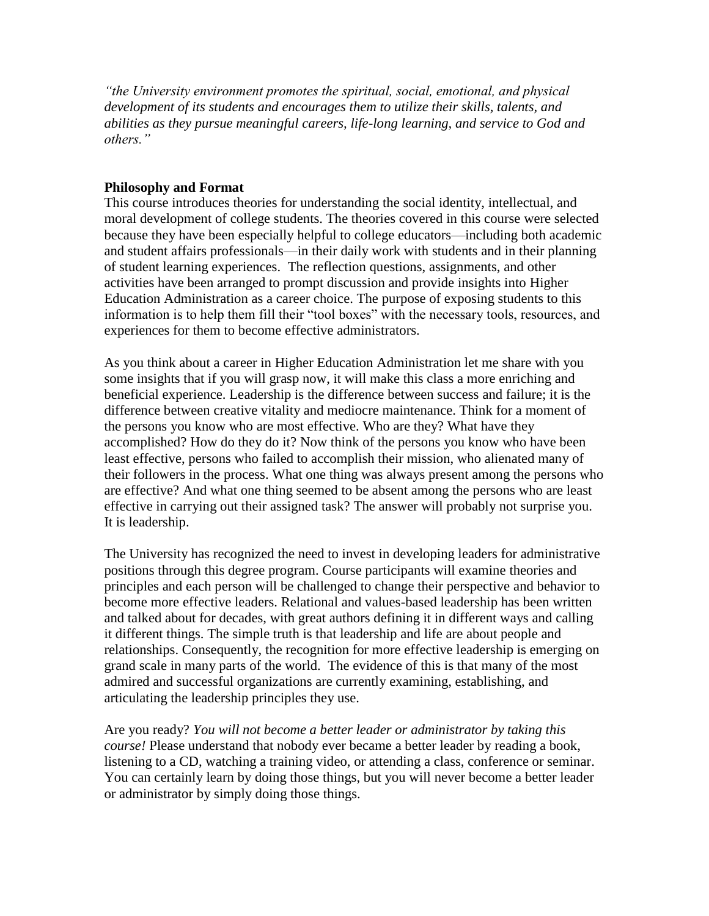*"the University environment promotes the spiritual, social, emotional, and physical development of its students and encourages them to utilize their skills, talents, and abilities as they pursue meaningful careers, life-long learning, and service to God and others."*

## **Philosophy and Format**

This course introduces theories for understanding the social identity, intellectual, and moral development of college students. The theories covered in this course were selected because they have been especially helpful to college educators—including both academic and student affairs professionals—in their daily work with students and in their planning of student learning experiences. The reflection questions, assignments, and other activities have been arranged to prompt discussion and provide insights into Higher Education Administration as a career choice. The purpose of exposing students to this information is to help them fill their "tool boxes" with the necessary tools, resources, and experiences for them to become effective administrators.

As you think about a career in Higher Education Administration let me share with you some insights that if you will grasp now, it will make this class a more enriching and beneficial experience. Leadership is the difference between success and failure; it is the difference between creative vitality and mediocre maintenance. Think for a moment of the persons you know who are most effective. Who are they? What have they accomplished? How do they do it? Now think of the persons you know who have been least effective, persons who failed to accomplish their mission, who alienated many of their followers in the process. What one thing was always present among the persons who are effective? And what one thing seemed to be absent among the persons who are least effective in carrying out their assigned task? The answer will probably not surprise you. It is leadership.

The University has recognized the need to invest in developing leaders for administrative positions through this degree program. Course participants will examine theories and principles and each person will be challenged to change their perspective and behavior to become more effective leaders. Relational and values-based leadership has been written and talked about for decades, with great authors defining it in different ways and calling it different things. The simple truth is that leadership and life are about people and relationships. Consequently, the recognition for more effective leadership is emerging on grand scale in many parts of the world. The evidence of this is that many of the most admired and successful organizations are currently examining, establishing, and articulating the leadership principles they use.

Are you ready? *You will not become a better leader or administrator by taking this course!* Please understand that nobody ever became a better leader by reading a book, listening to a CD, watching a training video, or attending a class, conference or seminar. You can certainly learn by doing those things, but you will never become a better leader or administrator by simply doing those things.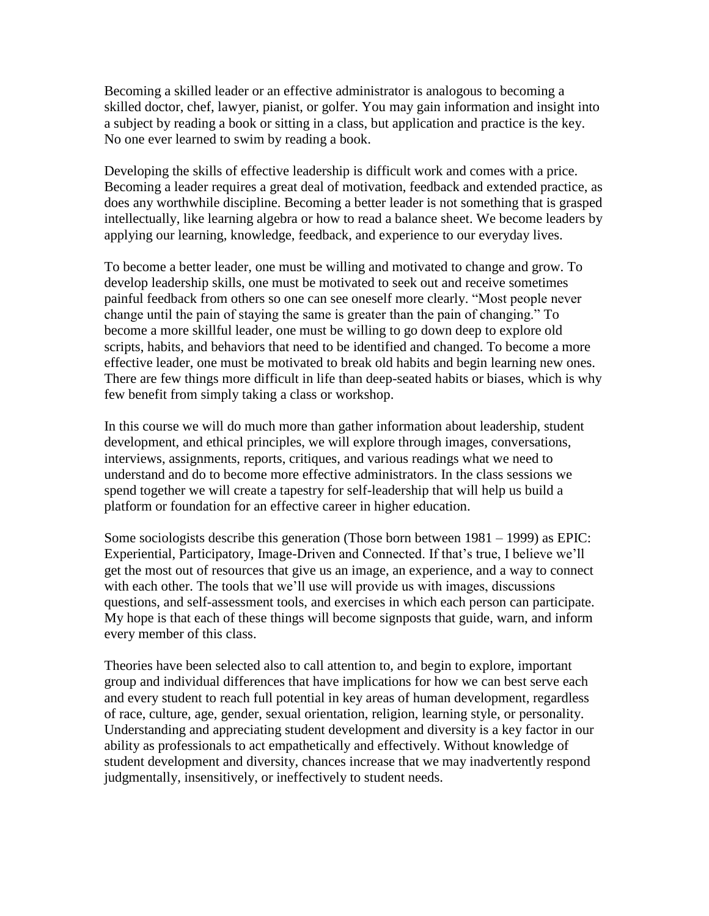Becoming a skilled leader or an effective administrator is analogous to becoming a skilled doctor, chef, lawyer, pianist, or golfer. You may gain information and insight into a subject by reading a book or sitting in a class, but application and practice is the key. No one ever learned to swim by reading a book.

Developing the skills of effective leadership is difficult work and comes with a price. Becoming a leader requires a great deal of motivation, feedback and extended practice, as does any worthwhile discipline. Becoming a better leader is not something that is grasped intellectually, like learning algebra or how to read a balance sheet. We become leaders by applying our learning, knowledge, feedback, and experience to our everyday lives.

To become a better leader, one must be willing and motivated to change and grow. To develop leadership skills, one must be motivated to seek out and receive sometimes painful feedback from others so one can see oneself more clearly. "Most people never change until the pain of staying the same is greater than the pain of changing." To become a more skillful leader, one must be willing to go down deep to explore old scripts, habits, and behaviors that need to be identified and changed. To become a more effective leader, one must be motivated to break old habits and begin learning new ones. There are few things more difficult in life than deep-seated habits or biases, which is why few benefit from simply taking a class or workshop.

In this course we will do much more than gather information about leadership, student development, and ethical principles, we will explore through images, conversations, interviews, assignments, reports, critiques, and various readings what we need to understand and do to become more effective administrators. In the class sessions we spend together we will create a tapestry for self-leadership that will help us build a platform or foundation for an effective career in higher education.

Some sociologists describe this generation (Those born between 1981 – 1999) as EPIC: Experiential, Participatory, Image-Driven and Connected. If that's true, I believe we'll get the most out of resources that give us an image, an experience, and a way to connect with each other. The tools that we'll use will provide us with images, discussions questions, and self-assessment tools, and exercises in which each person can participate. My hope is that each of these things will become signposts that guide, warn, and inform every member of this class.

Theories have been selected also to call attention to, and begin to explore, important group and individual differences that have implications for how we can best serve each and every student to reach full potential in key areas of human development, regardless of race, culture, age, gender, sexual orientation, religion, learning style, or personality. Understanding and appreciating student development and diversity is a key factor in our ability as professionals to act empathetically and effectively. Without knowledge of student development and diversity, chances increase that we may inadvertently respond judgmentally, insensitively, or ineffectively to student needs.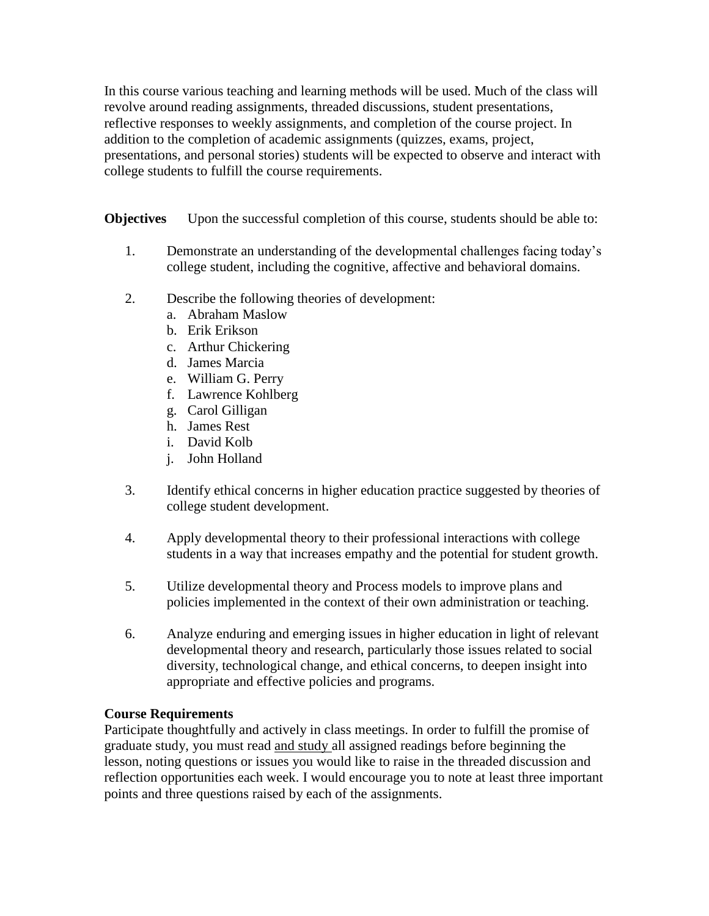In this course various teaching and learning methods will be used. Much of the class will revolve around reading assignments, threaded discussions, student presentations, reflective responses to weekly assignments, and completion of the course project. In addition to the completion of academic assignments (quizzes, exams, project, presentations, and personal stories) students will be expected to observe and interact with college students to fulfill the course requirements.

**Objectives** Upon the successful completion of this course, students should be able to:

- 1. Demonstrate an understanding of the developmental challenges facing today's college student, including the cognitive, affective and behavioral domains.
- 2. Describe the following theories of development:
	- a. Abraham Maslow
	- b. Erik Erikson
	- c. Arthur Chickering
	- d. James Marcia
	- e. William G. Perry
	- f. Lawrence Kohlberg
	- g. Carol Gilligan
	- h. James Rest
	- i. David Kolb
	- j. John Holland
- 3. Identify ethical concerns in higher education practice suggested by theories of college student development.
- 4. Apply developmental theory to their professional interactions with college students in a way that increases empathy and the potential for student growth.
- 5. Utilize developmental theory and Process models to improve plans and policies implemented in the context of their own administration or teaching.
- 6. Analyze enduring and emerging issues in higher education in light of relevant developmental theory and research, particularly those issues related to social diversity, technological change, and ethical concerns, to deepen insight into appropriate and effective policies and programs.

# **Course Requirements**

Participate thoughtfully and actively in class meetings. In order to fulfill the promise of graduate study, you must read and study all assigned readings before beginning the lesson, noting questions or issues you would like to raise in the threaded discussion and reflection opportunities each week. I would encourage you to note at least three important points and three questions raised by each of the assignments.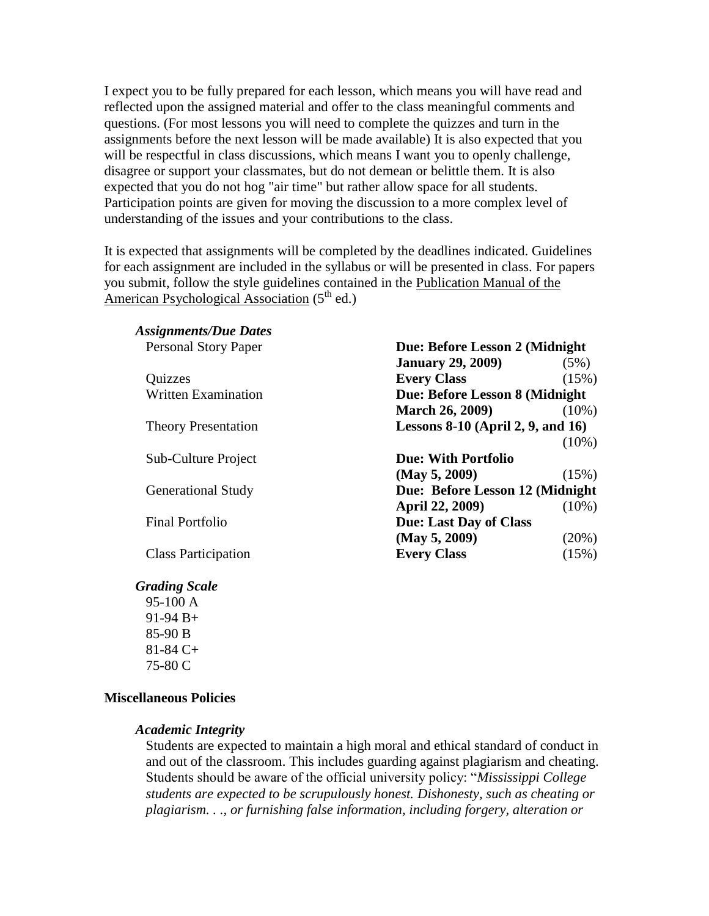I expect you to be fully prepared for each lesson, which means you will have read and reflected upon the assigned material and offer to the class meaningful comments and questions. (For most lessons you will need to complete the quizzes and turn in the assignments before the next lesson will be made available) It is also expected that you will be respectful in class discussions, which means I want you to openly challenge, disagree or support your classmates, but do not demean or belittle them. It is also expected that you do not hog "air time" but rather allow space for all students. Participation points are given for moving the discussion to a more complex level of understanding of the issues and your contributions to the class.

It is expected that assignments will be completed by the deadlines indicated. Guidelines for each assignment are included in the syllabus or will be presented in class. For papers you submit, follow the style guidelines contained in the Publication Manual of the American Psychological Association  $(5<sup>th</sup>$  ed.)

| <b>Assignments/Due Dates</b> |                                        |          |
|------------------------------|----------------------------------------|----------|
| <b>Personal Story Paper</b>  | Due: Before Lesson 2 (Midnight         |          |
|                              | <b>January 29, 2009)</b>               | (5%)     |
| Quizzes                      | <b>Every Class</b>                     | (15%)    |
| <b>Written Examination</b>   | Due: Before Lesson 8 (Midnight         |          |
|                              | <b>March 26, 2009)</b>                 | $(10\%)$ |
| <b>Theory Presentation</b>   | Lessons $8-10$ (April 2, 9, and $16$ ) |          |
|                              |                                        | $(10\%)$ |
| Sub-Culture Project          | <b>Due: With Portfolio</b>             |          |
|                              | (May 5, 2009)                          | (15%)    |
| <b>Generational Study</b>    | Due: Before Lesson 12 (Midnight        |          |
|                              | April 22, 2009)                        | $(10\%)$ |
| <b>Final Portfolio</b>       | <b>Due: Last Day of Class</b>          |          |
|                              | (May 5, 2009)                          | (20%)    |
| <b>Class Participation</b>   | <b>Every Class</b>                     | (15%)    |

#### *Grading Scale*

95-100 A 91-94 B+ 85-90 B 81-84 C+ 75-80 C

#### **Miscellaneous Policies**

#### *Academic Integrity*

Students are expected to maintain a high moral and ethical standard of conduct in and out of the classroom. This includes guarding against plagiarism and cheating. Students should be aware of the official university policy: "Mississippi College" *students are expected to be scrupulously honest. Dishonesty, such as cheating or plagiarism. . ., or furnishing false information, including forgery, alteration or*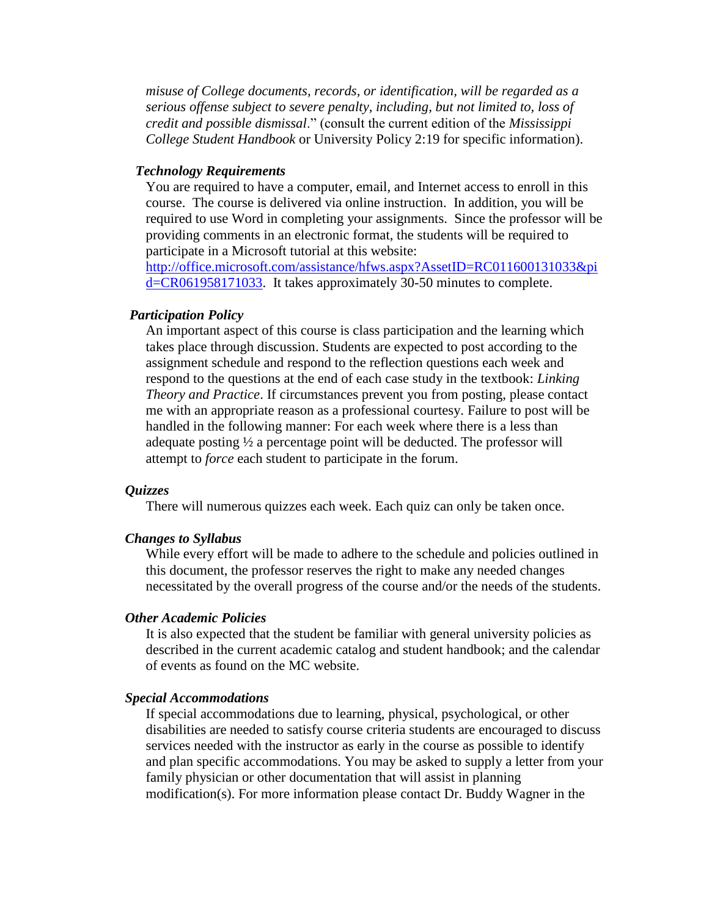*misuse of College documents, records, or identification, will be regarded as a serious offense subject to severe penalty, including, but not limited to, loss of credit and possible dismissal*.‖ (consult the current edition of the *Mississippi College Student Handbook* or University Policy 2:19 for specific information).

#### *Technology Requirements*

You are required to have a computer, email, and Internet access to enroll in this course. The course is delivered via online instruction. In addition, you will be required to use Word in completing your assignments. Since the professor will be providing comments in an electronic format, the students will be required to participate in a Microsoft tutorial at this website:

[http://office.microsoft.com/assistance/hfws.aspx?AssetID=RC011600131033&pi](http://office.microsoft.com/assistance/hfws.aspx?AssetID=RC011600131033&pid=CR061958171033) [d=CR061958171033.](http://office.microsoft.com/assistance/hfws.aspx?AssetID=RC011600131033&pid=CR061958171033) It takes approximately 30-50 minutes to complete.

#### *Participation Policy*

An important aspect of this course is class participation and the learning which takes place through discussion. Students are expected to post according to the assignment schedule and respond to the reflection questions each week and respond to the questions at the end of each case study in the textbook: *Linking Theory and Practice*. If circumstances prevent you from posting, please contact me with an appropriate reason as a professional courtesy. Failure to post will be handled in the following manner: For each week where there is a less than adequate posting ½ a percentage point will be deducted. The professor will attempt to *force* each student to participate in the forum.

#### *Quizzes*

There will numerous quizzes each week. Each quiz can only be taken once.

#### *Changes to Syllabus*

While every effort will be made to adhere to the schedule and policies outlined in this document, the professor reserves the right to make any needed changes necessitated by the overall progress of the course and/or the needs of the students.

#### *Other Academic Policies*

It is also expected that the student be familiar with general university policies as described in the current academic catalog and student handbook; and the calendar of events as found on the MC website.

#### *Special Accommodations*

If special accommodations due to learning, physical, psychological, or other disabilities are needed to satisfy course criteria students are encouraged to discuss services needed with the instructor as early in the course as possible to identify and plan specific accommodations. You may be asked to supply a letter from your family physician or other documentation that will assist in planning modification(s). For more information please contact Dr. Buddy Wagner in the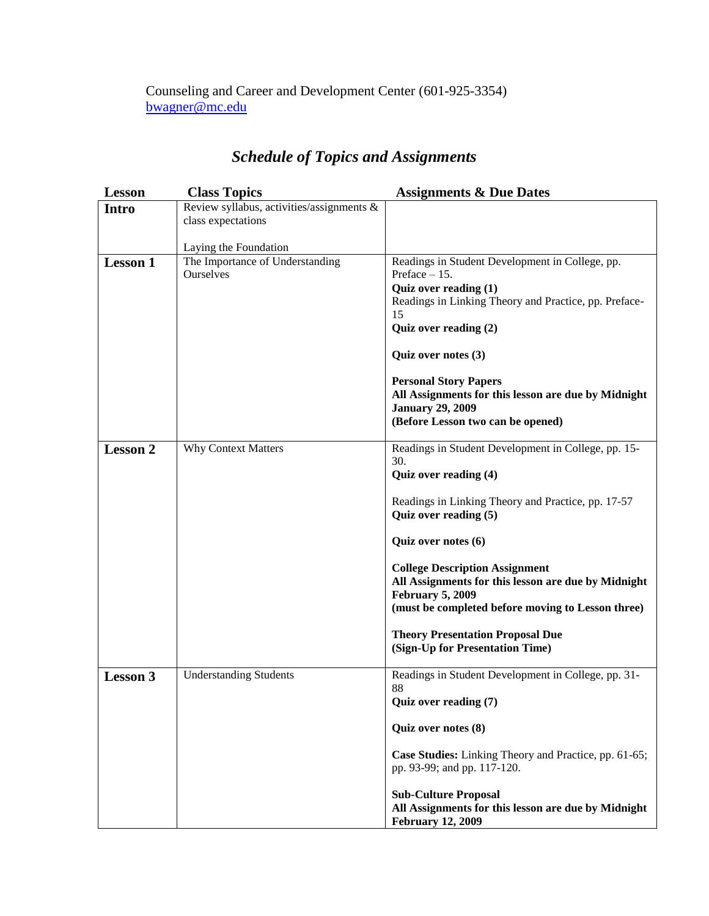# Counseling and Career and Development Center (601-925-3354) [bwagner@mc.edu](mailto:bwagner@mc.edu)

# *Schedule of Topics and Assignments*

| <b>Lesson</b>   | <b>Class Topics</b>                       | <b>Assignments &amp; Due Dates</b>                                              |
|-----------------|-------------------------------------------|---------------------------------------------------------------------------------|
| <b>Intro</b>    | Review syllabus, activities/assignments & |                                                                                 |
|                 | class expectations                        |                                                                                 |
|                 | Laying the Foundation                     |                                                                                 |
| <b>Lesson 1</b> | The Importance of Understanding           | Readings in Student Development in College, pp.                                 |
|                 | Ourselves                                 | Preface $-15$ .                                                                 |
|                 |                                           | Quiz over reading (1)                                                           |
|                 |                                           | Readings in Linking Theory and Practice, pp. Preface-<br>15                     |
|                 |                                           | Quiz over reading (2)                                                           |
|                 |                                           |                                                                                 |
|                 |                                           | Quiz over notes (3)                                                             |
|                 |                                           | <b>Personal Story Papers</b>                                                    |
|                 |                                           | All Assignments for this lesson are due by Midnight                             |
|                 |                                           | <b>January 29, 2009</b>                                                         |
|                 |                                           | (Before Lesson two can be opened)                                               |
| <b>Lesson 2</b> | <b>Why Context Matters</b>                | Readings in Student Development in College, pp. 15-                             |
|                 |                                           | 30.                                                                             |
|                 |                                           | Quiz over reading (4)                                                           |
|                 |                                           | Readings in Linking Theory and Practice, pp. 17-57                              |
|                 |                                           | Quiz over reading (5)                                                           |
|                 |                                           | Quiz over notes (6)                                                             |
|                 |                                           | <b>College Description Assignment</b>                                           |
|                 |                                           | All Assignments for this lesson are due by Midnight                             |
|                 |                                           | <b>February 5, 2009</b>                                                         |
|                 |                                           | (must be completed before moving to Lesson three)                               |
|                 |                                           | <b>Theory Presentation Proposal Due</b>                                         |
|                 |                                           | (Sign-Up for Presentation Time)                                                 |
| <b>Lesson 3</b> | <b>Understanding Students</b>             | Readings in Student Development in College, pp. 31-                             |
|                 |                                           | 88<br>Quiz over reading (7)                                                     |
|                 |                                           |                                                                                 |
|                 |                                           | Quiz over notes (8)                                                             |
|                 |                                           | Case Studies: Linking Theory and Practice, pp. 61-65;                           |
|                 |                                           | pp. 93-99; and pp. 117-120.                                                     |
|                 |                                           | <b>Sub-Culture Proposal</b>                                                     |
|                 |                                           | All Assignments for this lesson are due by Midnight<br><b>February 12, 2009</b> |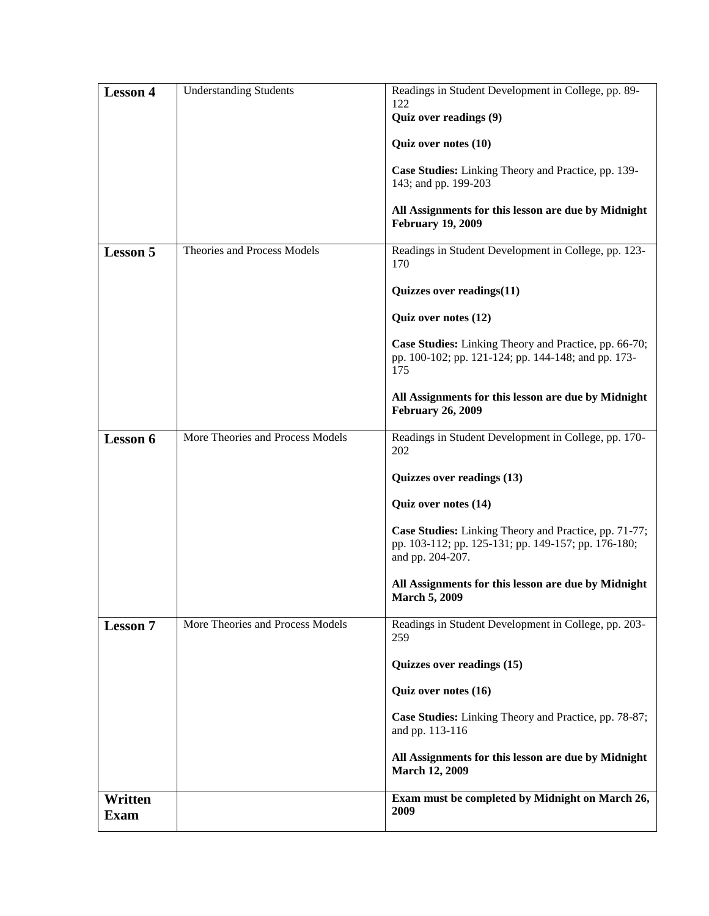|                        |                                  | Quiz over notes (10)<br>Case Studies: Linking Theory and Practice, pp. 139-                                                      |
|------------------------|----------------------------------|----------------------------------------------------------------------------------------------------------------------------------|
|                        |                                  | 143; and pp. 199-203                                                                                                             |
|                        |                                  | All Assignments for this lesson are due by Midnight<br><b>February 19, 2009</b>                                                  |
| <b>Lesson 5</b>        | Theories and Process Models      | Readings in Student Development in College, pp. 123-<br>170                                                                      |
|                        |                                  | Quizzes over readings(11)                                                                                                        |
|                        |                                  | Quiz over notes (12)                                                                                                             |
|                        |                                  | Case Studies: Linking Theory and Practice, pp. 66-70;<br>pp. 100-102; pp. 121-124; pp. 144-148; and pp. 173-<br>175              |
|                        |                                  | All Assignments for this lesson are due by Midnight<br><b>February 26, 2009</b>                                                  |
| Lesson 6               | More Theories and Process Models | Readings in Student Development in College, pp. 170-<br>202                                                                      |
|                        |                                  | Quizzes over readings (13)                                                                                                       |
|                        |                                  | Quiz over notes (14)                                                                                                             |
|                        |                                  | Case Studies: Linking Theory and Practice, pp. 71-77;<br>pp. 103-112; pp. 125-131; pp. 149-157; pp. 176-180;<br>and pp. 204-207. |
|                        |                                  | All Assignments for this lesson are due by Midnight<br><b>March 5, 2009</b>                                                      |
| <b>Lesson 7</b>        | More Theories and Process Models | Readings in Student Development in College, pp. 203-<br>259                                                                      |
|                        |                                  | Quizzes over readings (15)                                                                                                       |
|                        |                                  | Quiz over notes (16)                                                                                                             |
|                        |                                  | Case Studies: Linking Theory and Practice, pp. 78-87;<br>and pp. 113-116                                                         |
|                        |                                  | All Assignments for this lesson are due by Midnight<br><b>March 12, 2009</b>                                                     |
| Written<br><b>Exam</b> |                                  | Exam must be completed by Midnight on March 26,<br>2009                                                                          |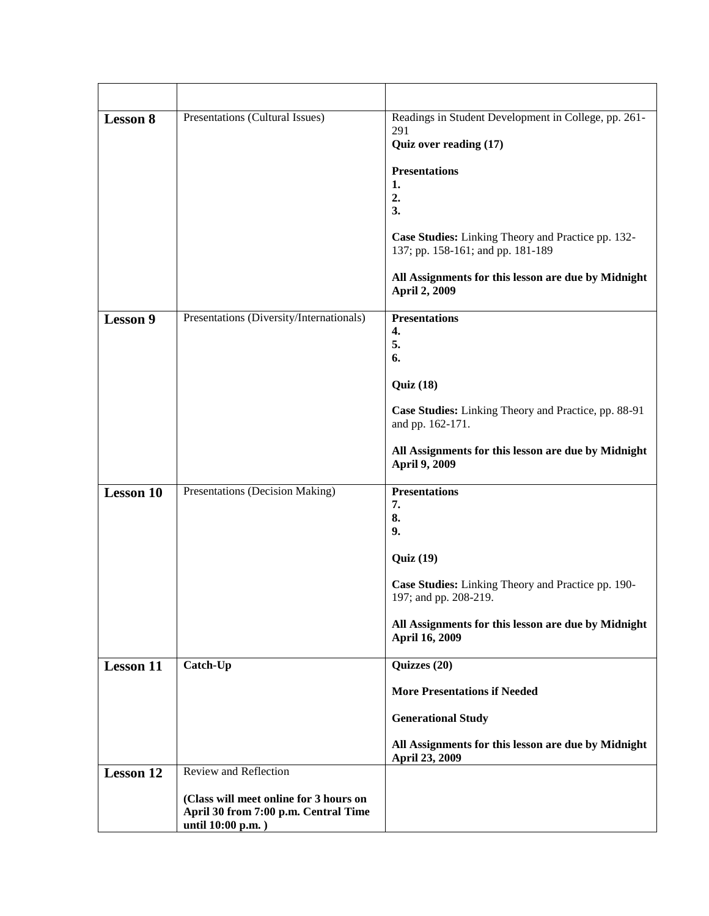| <b>Lesson 8</b>  | Presentations (Cultural Issues)                                                                                              | Readings in Student Development in College, pp. 261-<br>291<br>Quiz over reading (17)<br><b>Presentations</b><br>1.<br>2.<br>3.<br>Case Studies: Linking Theory and Practice pp. 132-<br>137; pp. 158-161; and pp. 181-189<br>All Assignments for this lesson are due by Midnight<br><b>April 2, 2009</b> |
|------------------|------------------------------------------------------------------------------------------------------------------------------|-----------------------------------------------------------------------------------------------------------------------------------------------------------------------------------------------------------------------------------------------------------------------------------------------------------|
| <b>Lesson 9</b>  | Presentations (Diversity/Internationals)                                                                                     | <b>Presentations</b><br>4.<br>5.<br>6.<br>Quiz(18)<br>Case Studies: Linking Theory and Practice, pp. 88-91<br>and pp. 162-171.<br>All Assignments for this lesson are due by Midnight<br>April 9, 2009                                                                                                    |
| <b>Lesson 10</b> | Presentations (Decision Making)                                                                                              | <b>Presentations</b><br>7.<br>8.<br>9.<br><b>Quiz</b> (19)<br>Case Studies: Linking Theory and Practice pp. 190-<br>197; and pp. 208-219.<br>All Assignments for this lesson are due by Midnight<br>April 16, 2009                                                                                        |
| <b>Lesson 11</b> | Catch-Up                                                                                                                     | Quizzes (20)<br><b>More Presentations if Needed</b><br><b>Generational Study</b><br>All Assignments for this lesson are due by Midnight<br>April 23, 2009                                                                                                                                                 |
| <b>Lesson 12</b> | Review and Reflection<br>(Class will meet online for 3 hours on<br>April 30 from 7:00 p.m. Central Time<br>until 10:00 p.m.) |                                                                                                                                                                                                                                                                                                           |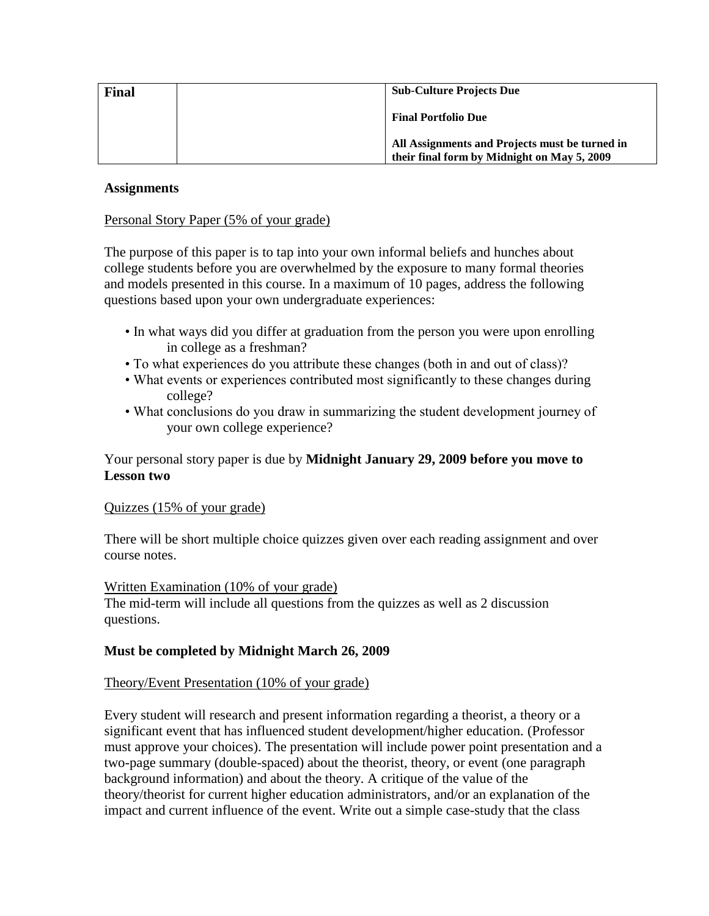| <b>Final</b> | <b>Sub-Culture Projects Due</b>                                                               |  |
|--------------|-----------------------------------------------------------------------------------------------|--|
|              | <b>Final Portfolio Due</b>                                                                    |  |
|              | All Assignments and Projects must be turned in<br>their final form by Midnight on May 5, 2009 |  |

### **Assignments**

## Personal Story Paper (5% of your grade)

The purpose of this paper is to tap into your own informal beliefs and hunches about college students before you are overwhelmed by the exposure to many formal theories and models presented in this course. In a maximum of 10 pages, address the following questions based upon your own undergraduate experiences:

- In what ways did you differ at graduation from the person you were upon enrolling in college as a freshman?
- To what experiences do you attribute these changes (both in and out of class)?
- What events or experiences contributed most significantly to these changes during college?
- What conclusions do you draw in summarizing the student development journey of your own college experience?

# Your personal story paper is due by **Midnight January 29, 2009 before you move to Lesson two**

#### Quizzes (15% of your grade)

There will be short multiple choice quizzes given over each reading assignment and over course notes.

#### Written Examination (10% of your grade)

The mid-term will include all questions from the quizzes as well as 2 discussion questions.

# **Must be completed by Midnight March 26, 2009**

#### Theory/Event Presentation (10% of your grade)

Every student will research and present information regarding a theorist, a theory or a significant event that has influenced student development/higher education. (Professor must approve your choices). The presentation will include power point presentation and a two-page summary (double-spaced) about the theorist, theory, or event (one paragraph background information) and about the theory. A critique of the value of the theory/theorist for current higher education administrators, and/or an explanation of the impact and current influence of the event. Write out a simple case-study that the class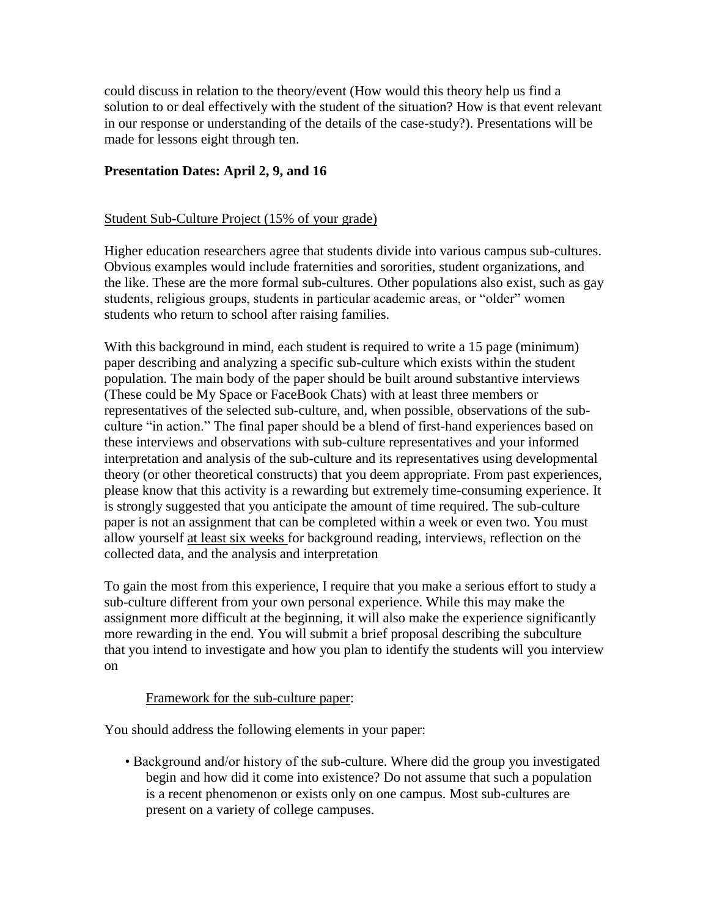could discuss in relation to the theory/event (How would this theory help us find a solution to or deal effectively with the student of the situation? How is that event relevant in our response or understanding of the details of the case-study?). Presentations will be made for lessons eight through ten.

## **Presentation Dates: April 2, 9, and 16**

#### Student Sub-Culture Project (15% of your grade)

Higher education researchers agree that students divide into various campus sub-cultures. Obvious examples would include fraternities and sororities, student organizations, and the like. These are the more formal sub-cultures. Other populations also exist, such as gay students, religious groups, students in particular academic areas, or "older" women students who return to school after raising families.

With this background in mind, each student is required to write a 15 page (minimum) paper describing and analyzing a specific sub-culture which exists within the student population. The main body of the paper should be built around substantive interviews (These could be My Space or FaceBook Chats) with at least three members or representatives of the selected sub-culture, and, when possible, observations of the subculture "in action." The final paper should be a blend of first-hand experiences based on these interviews and observations with sub-culture representatives and your informed interpretation and analysis of the sub-culture and its representatives using developmental theory (or other theoretical constructs) that you deem appropriate. From past experiences, please know that this activity is a rewarding but extremely time-consuming experience. It is strongly suggested that you anticipate the amount of time required. The sub-culture paper is not an assignment that can be completed within a week or even two. You must allow yourself at least six weeks for background reading, interviews, reflection on the collected data, and the analysis and interpretation

To gain the most from this experience, I require that you make a serious effort to study a sub-culture different from your own personal experience. While this may make the assignment more difficult at the beginning, it will also make the experience significantly more rewarding in the end. You will submit a brief proposal describing the subculture that you intend to investigate and how you plan to identify the students will you interview on

#### Framework for the sub-culture paper:

You should address the following elements in your paper:

• Background and/or history of the sub-culture. Where did the group you investigated begin and how did it come into existence? Do not assume that such a population is a recent phenomenon or exists only on one campus. Most sub-cultures are present on a variety of college campuses.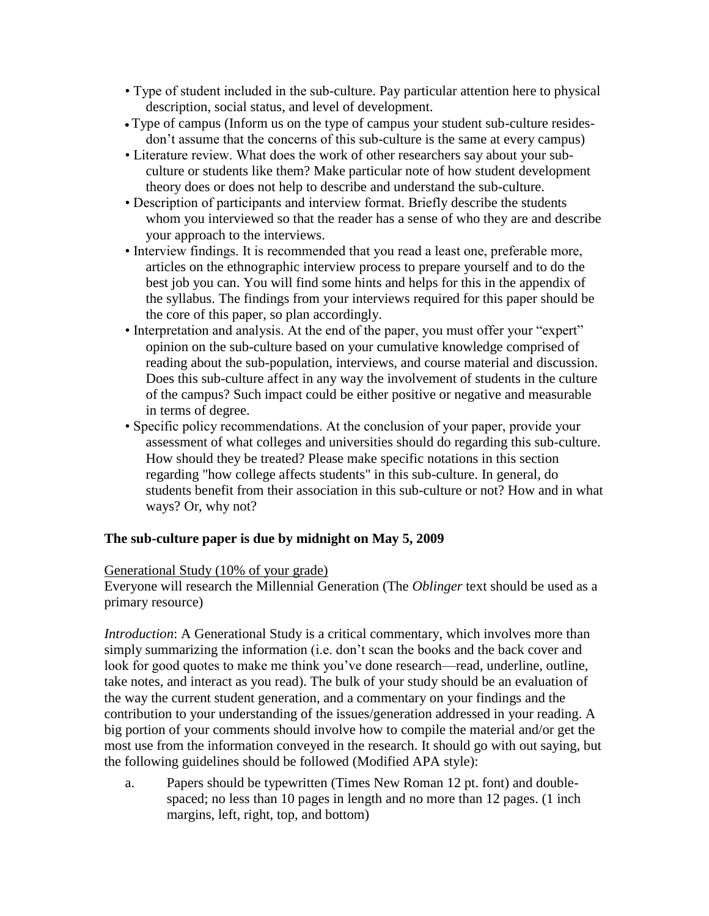- Type of student included in the sub-culture. Pay particular attention here to physical description, social status, and level of development.
- Type of campus (Inform us on the type of campus your student sub-culture residesdon't assume that the concerns of this sub-culture is the same at every campus)
- Literature review. What does the work of other researchers say about your subculture or students like them? Make particular note of how student development theory does or does not help to describe and understand the sub-culture.
- Description of participants and interview format. Briefly describe the students whom you interviewed so that the reader has a sense of who they are and describe your approach to the interviews.
- Interview findings. It is recommended that you read a least one, preferable more, articles on the ethnographic interview process to prepare yourself and to do the best job you can. You will find some hints and helps for this in the appendix of the syllabus. The findings from your interviews required for this paper should be the core of this paper, so plan accordingly.
- Interpretation and analysis. At the end of the paper, you must offer your "expert" opinion on the sub-culture based on your cumulative knowledge comprised of reading about the sub-population, interviews, and course material and discussion. Does this sub-culture affect in any way the involvement of students in the culture of the campus? Such impact could be either positive or negative and measurable in terms of degree.
- Specific policy recommendations. At the conclusion of your paper, provide your assessment of what colleges and universities should do regarding this sub-culture. How should they be treated? Please make specific notations in this section regarding "how college affects students" in this sub-culture. In general, do students benefit from their association in this sub-culture or not? How and in what ways? Or, why not?

# **The sub-culture paper is due by midnight on May 5, 2009**

# Generational Study (10% of your grade)

Everyone will research the Millennial Generation (The *Oblinger* text should be used as a primary resource)

*Introduction*: A Generational Study is a critical commentary, which involves more than simply summarizing the information (i.e. don't scan the books and the back cover and look for good quotes to make me think you've done research—read, underline, outline, take notes, and interact as you read). The bulk of your study should be an evaluation of the way the current student generation, and a commentary on your findings and the contribution to your understanding of the issues/generation addressed in your reading. A big portion of your comments should involve how to compile the material and/or get the most use from the information conveyed in the research. It should go with out saying, but the following guidelines should be followed (Modified APA style):

a. Papers should be typewritten (Times New Roman 12 pt. font) and doublespaced; no less than 10 pages in length and no more than 12 pages. (1 inch margins, left, right, top, and bottom)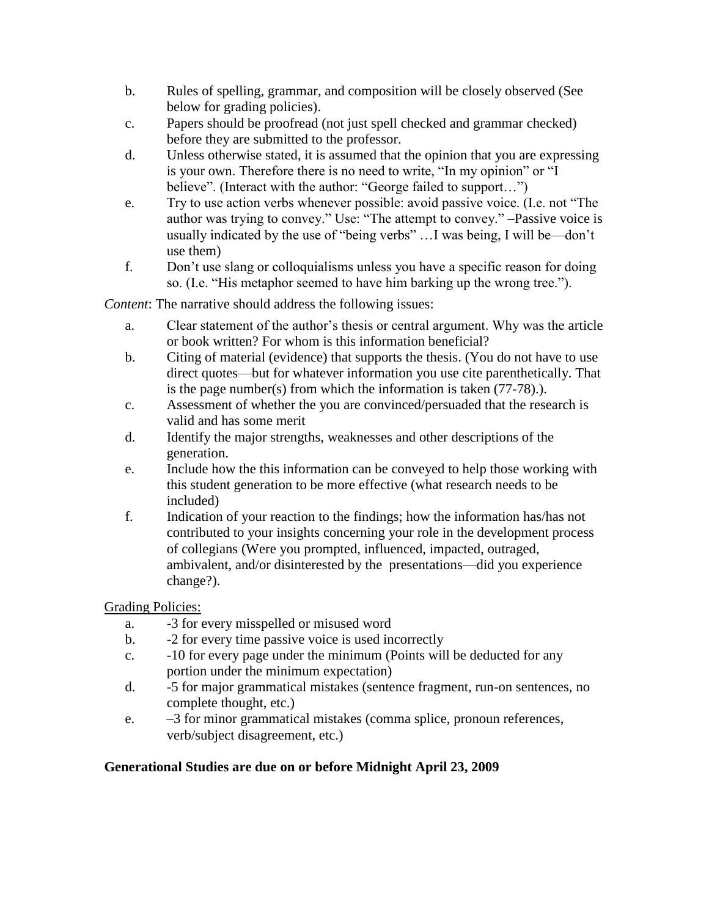- b. Rules of spelling, grammar, and composition will be closely observed (See below for grading policies).
- c. Papers should be proofread (not just spell checked and grammar checked) before they are submitted to the professor.
- d. Unless otherwise stated, it is assumed that the opinion that you are expressing is your own. Therefore there is no need to write, "In my opinion" or "I believe". (Interact with the author: "George failed to support...")
- e. Try to use action verbs whenever possible: avoid passive voice. (I.e. not "The author was trying to convey." Use: "The attempt to convey." -Passive voice is usually indicated by the use of "being verbs" …I was being, I will be—don't use them)
- f. Don't use slang or colloquialisms unless you have a specific reason for doing so. (I.e. "His metaphor seemed to have him barking up the wrong tree.").

*Content*: The narrative should address the following issues:

- a. Clear statement of the author's thesis or central argument. Why was the article or book written? For whom is this information beneficial?
- b. Citing of material (evidence) that supports the thesis. (You do not have to use direct quotes—but for whatever information you use cite parenthetically. That is the page number(s) from which the information is taken (77-78).).
- c. Assessment of whether the you are convinced/persuaded that the research is valid and has some merit
- d. Identify the major strengths, weaknesses and other descriptions of the generation.
- e. Include how the this information can be conveyed to help those working with this student generation to be more effective (what research needs to be included)
- f. Indication of your reaction to the findings; how the information has/has not contributed to your insights concerning your role in the development process of collegians (Were you prompted, influenced, impacted, outraged, ambivalent, and/or disinterested by the presentations—did you experience change?).

Grading Policies:

- a. -3 for every misspelled or misused word
- b. -2 for every time passive voice is used incorrectly
- c. -10 for every page under the minimum (Points will be deducted for any portion under the minimum expectation)
- d. -5 for major grammatical mistakes (sentence fragment, run-on sentences, no complete thought, etc.)
- e. –3 for minor grammatical mistakes (comma splice, pronoun references, verb/subject disagreement, etc.)

# **Generational Studies are due on or before Midnight April 23, 2009**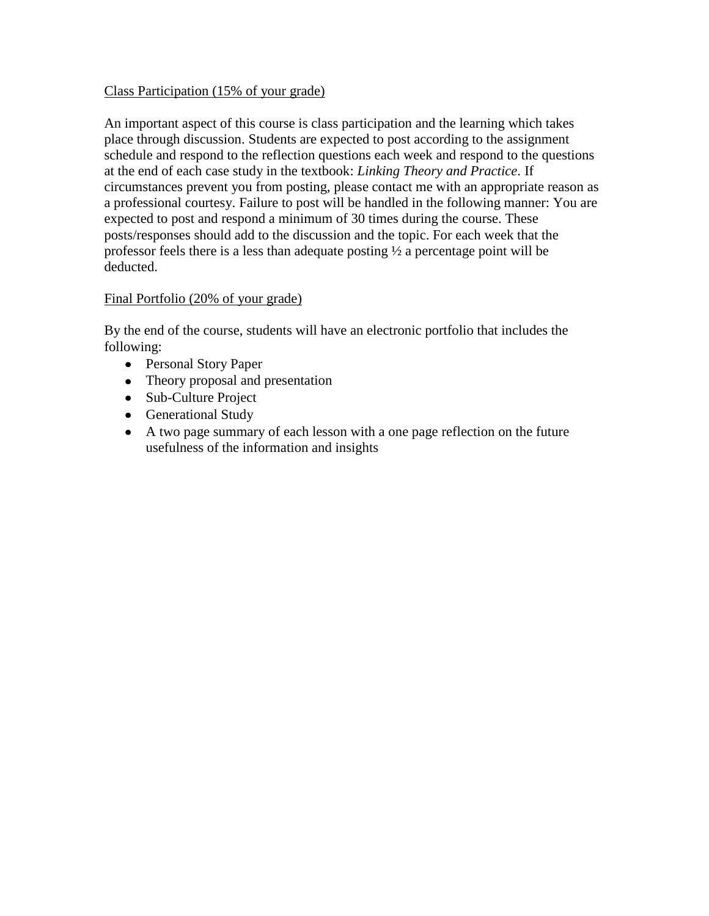#### Class Participation (15% of your grade)

An important aspect of this course is class participation and the learning which takes place through discussion. Students are expected to post according to the assignment schedule and respond to the reflection questions each week and respond to the questions at the end of each case study in the textbook: *Linking Theory and Practice*. If circumstances prevent you from posting, please contact me with an appropriate reason as a professional courtesy. Failure to post will be handled in the following manner: You are expected to post and respond a minimum of 30 times during the course. These posts/responses should add to the discussion and the topic. For each week that the professor feels there is a less than adequate posting ½ a percentage point will be deducted.

#### Final Portfolio (20% of your grade)

By the end of the course, students will have an electronic portfolio that includes the following:

- Personal Story Paper
- Theory proposal and presentation
- Sub-Culture Project
- Generational Study
- A two page summary of each lesson with a one page reflection on the future usefulness of the information and insights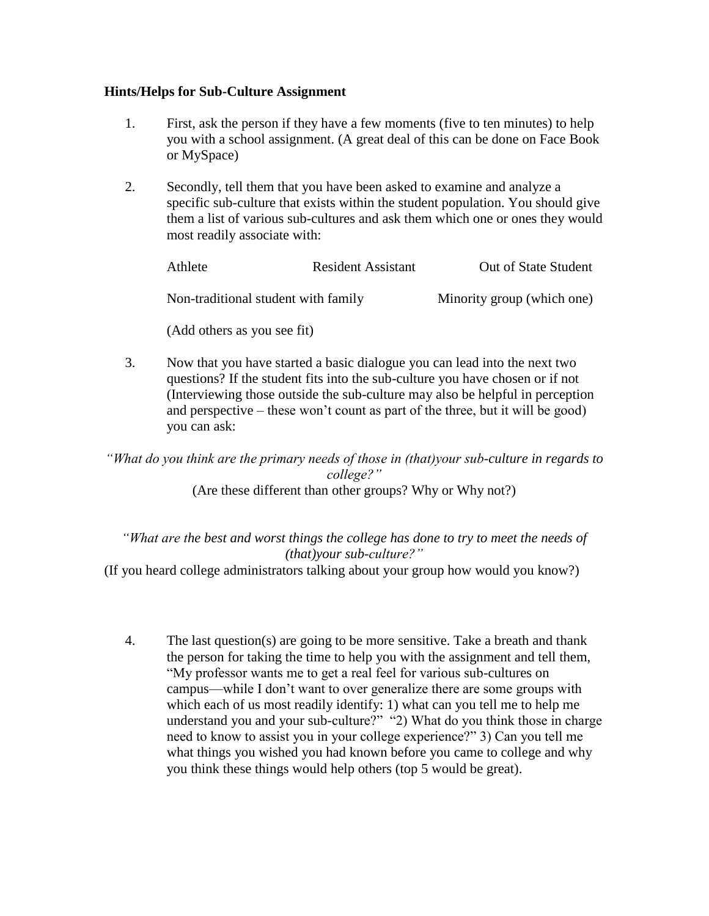## **Hints/Helps for Sub-Culture Assignment**

- 1. First, ask the person if they have a few moments (five to ten minutes) to help you with a school assignment. (A great deal of this can be done on Face Book or MySpace)
- 2. Secondly, tell them that you have been asked to examine and analyze a specific sub-culture that exists within the student population. You should give them a list of various sub-cultures and ask them which one or ones they would most readily associate with:

| Athlete                             | <b>Resident Assistant</b> | Out of State Student       |
|-------------------------------------|---------------------------|----------------------------|
| Non-traditional student with family |                           | Minority group (which one) |
| (Add others as you see fit)         |                           |                            |

3. Now that you have started a basic dialogue you can lead into the next two questions? If the student fits into the sub-culture you have chosen or if not (Interviewing those outside the sub-culture may also be helpful in perception and perspective – these won't count as part of the three, but it will be good) you can ask:

*"What do you think are the primary needs of those in (that)your sub-culture in regards to college?"*  (Are these different than other groups? Why or Why not?)

*"What are the best and worst things the college has done to try to meet the needs of (that)your sub-culture?"*

(If you heard college administrators talking about your group how would you know?)

4. The last question(s) are going to be more sensitive. Take a breath and thank the person for taking the time to help you with the assignment and tell them, ―My professor wants me to get a real feel for various sub-cultures on campus—while I don't want to over generalize there are some groups with which each of us most readily identify: 1) what can you tell me to help me understand you and your sub-culture?" "2) What do you think those in charge need to know to assist you in your college experience?" 3) Can you tell me what things you wished you had known before you came to college and why you think these things would help others (top 5 would be great).